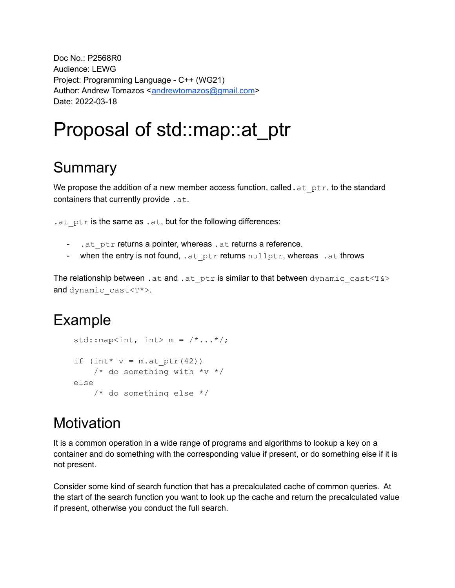Doc No.: P2568R0 Audience: LEWG Project: Programming Language - C++ (WG21) Author: Andrew Tomazos <[andrewtomazos@gmail.com](mailto:andrewtomazos@gmail.com)> Date: 2022-03-18

# Proposal of std::map::at\_ptr

## **Summary**

We propose the addition of a new member access function, called.  $at$   $ptr$ , to the standard containers that currently provide . at.

. at  $ptr$  is the same as . at, but for the following differences:

- .at ptr returns a pointer, whereas .at returns a reference.
- when the entry is not found, .at ptr returns nullptr, whereas .at throws

The relationship between . at and . at  $ptr$  is similar to that between dynamic cast<T&> and dynamic\_cast<T\*>.

## Example

```
std:: map<int, int> m = /*...*/;if (int* v = m \cdot at ptr(42))
    /* do something with *_{V} */else
    /* do something else */
```
## **Motivation**

It is a common operation in a wide range of programs and algorithms to lookup a key on a container and do something with the corresponding value if present, or do something else if it is not present.

Consider some kind of search function that has a precalculated cache of common queries. At the start of the search function you want to look up the cache and return the precalculated value if present, otherwise you conduct the full search.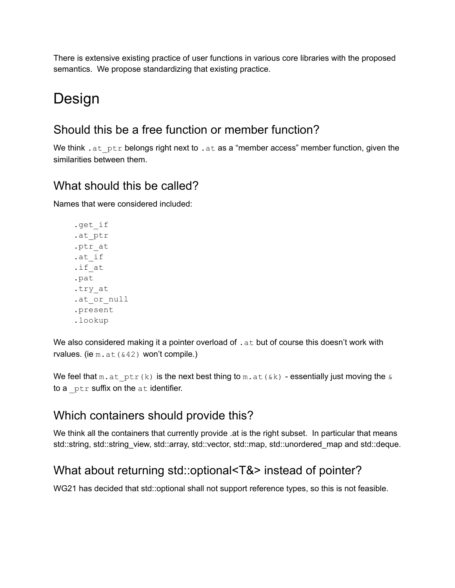There is extensive existing practice of user functions in various core libraries with the proposed semantics. We propose standardizing that existing practice.

## Design

### Should this be a free function or member function?

We think . at  $ptr$  belongs right next to . at as a "member access" member function, given the similarities between them.

### What should this be called?

Names that were considered included:

```
.get_if
.at_ptr
.ptr_at
.at_if
.if_at
.pat
.try_at
.at or null
.present
.lookup
```
We also considered making it a pointer overload of . at but of course this doesn't work with rvalues. (ie  $m$ . at ( $&42$ ) won't compile.)

We feel that  $m$ .at ptr(k) is the next best thing to  $m$ .at( $\&k$ ) - essentially just moving the  $\&$ to a  $ptr$  suffix on the  $at$  identifier.

### Which containers should provide this?

We think all the containers that currently provide .at is the right subset. In particular that means std::string, std::string\_view, std::array, std::vector, std::map, std::unordered\_map and std::deque.

### What about returning std::optional<T&> instead of pointer?

WG21 has decided that std::optional shall not support reference types, so this is not feasible.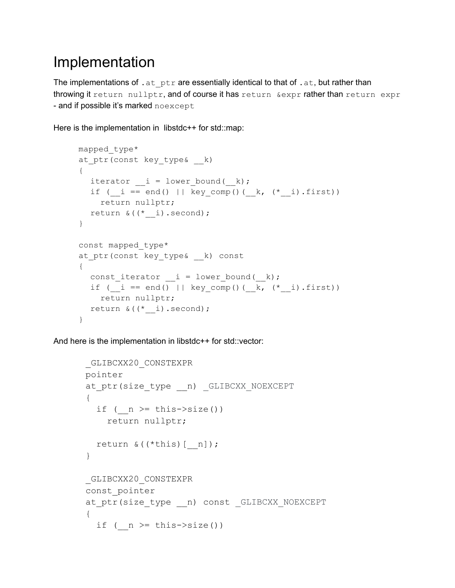## Implementation

The implementations of  $.$  at  $ptr$  are essentially identical to that of  $.$  at, but rather than throwing it return nullptr, and of course it has return & expr rather than return expr - and if possible it's marked noexcept

Here is the implementation in libstdc++ for std::map:

```
mapped_type*
at ptr(const key type& k)
{
  iterator i = lower bound( k);
  if ( i = end() || key comp() ( k, (*i).first))
   return nullptr;
  return \& ((*)\; i). second);
}
const mapped_type*
at ptr(const key type& k) const
{
  const iterator i = lower bound(k);
  if (_i == end() || key_comp()(__k, (*_i).first))
   return nullptr;
  return & ((* i).second);
}
```
And here is the implementation in libstdc++ for std::vector:

```
_GLIBCXX20_CONSTEXPR
pointer
at ptr(size type __ n) GLIBCXX NOEXCEPT
{
  if ( n \geq this->size())
   return nullptr;
  return \& ((*this) [n]);
}
_GLIBCXX20_CONSTEXPR
const_pointer
at ptr(size type __ n) const GLIBCXX NOEXCEPT
{
  if ( n \geq this->size())
```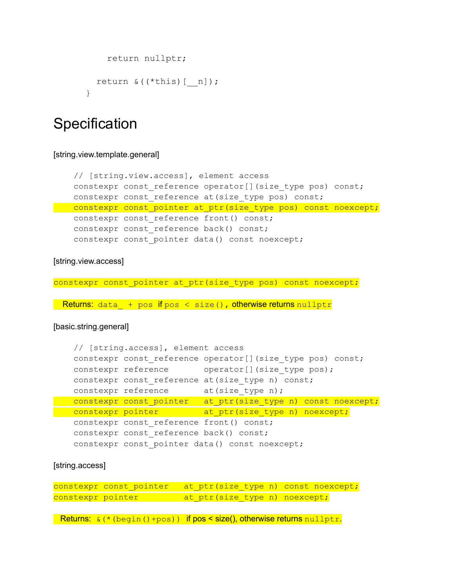```
return nullptr;
 return &((*this)[__n]);
}
```
### **Specification**

#### [string.view.template.general]

```
// [string.view.access], element access
   constexpr const reference operator[](size type pos) const;
   constexpr const reference at(size type pos) const;
constexpr const pointer at ptr(size type pos) const noexcept;
  constexpr const reference front() const;
  constexpr const reference back() const;
   constexpr const pointer data() const noexcept;
```
### [string.view.access]

constexpr const pointer at ptr(size type pos) const noexcept;

Returns: data + pos if pos  $\langle$  size(), otherwise returns nullptr

#### [basic.string.general]

```
// [string.access], element access
  constexpr const reference operator[](size type pos) const;
  constexpr reference operator[](size type pos);
  constexpr const reference at(size type n) const;
  constexpr reference at(size type n);
constexpr const_pointer at_ptr(size_type n) const noexcept;
constexpr pointer at ptr(size type n) noexcept;
  constexpr const reference front() const;
  constexpr const reference back() const;
  constexpr const pointer data() const noexcept;
```
### [string.access]

constexpr const pointer at ptr(size type n) const noexcept; constexpr pointer at\_ptr(size\_type n) noexcept;

**Returns:**  $\&(*(\text{begin}(1)+\text{pos}))$  if  $pos$  < size(), otherwise returns  $nullptr$ .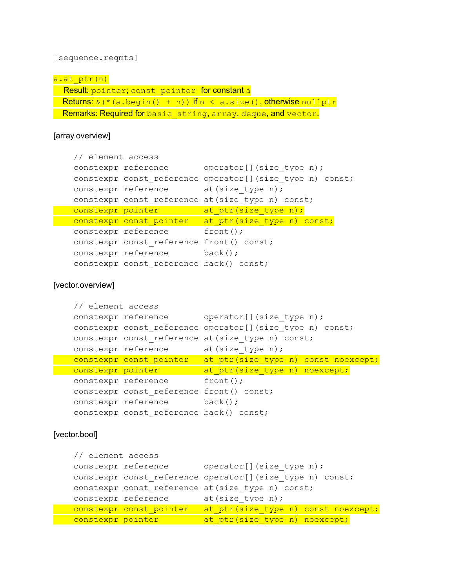[sequence.reqmts]

| a.at ptr(n)                                                                    |
|--------------------------------------------------------------------------------|
| Result: pointer; const pointer for constant a                                  |
| <b>Returns:</b> $\&$ (* (a.begin() + n)) if $n < a$ .size(), otherwise nullptr |
| Remarks: Required for basic string, array, deque, and vector.                  |

[array.overview]

```
// element access
 constexpr reference operator[](size type n);
 constexpr const_reference operator[](size_type n) const;
 constexpr reference at(size type n);
 constexpr const reference at(size type n) const;
constexpr pointer at_ptr(size_type n);
constexpr const_pointer at_ptr(size_type n) const;
 constexpr reference front();
 constexpr const reference front() const;
 constexpr reference back();
 constexpr const reference back() const;
```
[vector.overview]

```
// element access
 constexpr reference operator[](size_type n);
 constexpr const reference operator[](size type n) const;
 constexpr const reference at(size type n) const;
 constexpr reference at(size_type n);
 constexpr const_pointer at_ptr(size_type n) const noexcept;
constexpr pointer at_ptr(size_type n) noexcept;
 constexpr reference front();
 constexpr const reference front() const;
 constexpr reference back();
 constexpr const reference back() const;
```
#### [vector.bool]

```
// element access
 constexpr reference operator[](size type n);
 constexpr const reference operator[](size type n) const;
 constexpr const reference at(size type n) const;
 constexpr reference at(size type n);
constexpr const_pointer at_ptr(size_type n) const noexcept;
constexpr pointer at ptr(size type n) noexcept;
```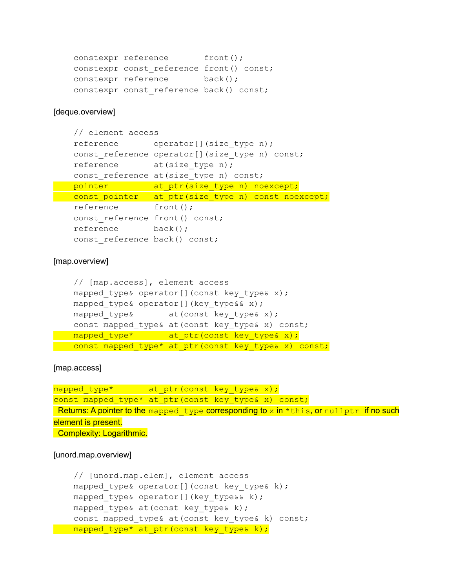```
constexpr reference front();
constexpr const reference front() const;
constexpr reference back();
constexpr const reference back() const;
```
#### [deque.overview]

```
// element access
 reference operator[](size type n);
 const reference operator[](size type n) const;
 reference at(size type n);
 const reference at(size type n) const;
pointer at ptr(size type n) noexcept;
const_pointer at_ptr(size_type n) const noexcept;
 reference front();
 const reference front() const;
 reference back();
 const reference back() const;
```
### [map.overview]

```
// [map.access], element access
  mapped type& operator[](const key type& x);
  mapped type& operator[](key type&& x);
  mapped type& at(const key type& x);
  const mapped_type& at(const key_type& x) const;
mapped_type* at_ptr(const key type& x);
const mapped type* at ptr(const key type& x) const;
```
[map.access]

```
mapped_type* at_ptr(const key_type& x);
const mapped_type* at ptr(const key type& x) const;
Returns: A pointer to the mapped type corresponding to x in *this, or nullptr if no such
element is present.
Complexity: Logarithmic.
```
#### [unord.map.overview]

```
// [unord.map.elem], element access
 mapped type& operator[](const key type& k);
 mapped type& operator[](key type&& k);
 mapped type& at(const key type& k);
 const mapped type& at(const key type& k) const;
mapped type* at ptr(const key type& k);
```